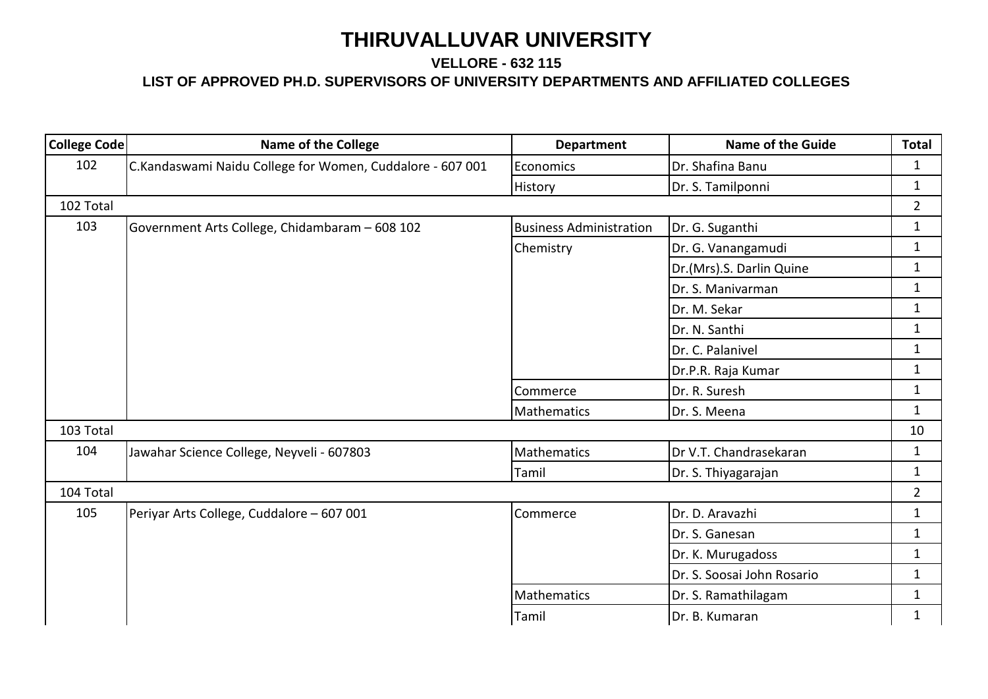| College Code | <b>Name of the College</b>                                | <b>Department</b>       | <b>Name of the Guide</b>   | <b>Total</b>   |
|--------------|-----------------------------------------------------------|-------------------------|----------------------------|----------------|
| 102          | C.Kandaswami Naidu College for Women, Cuddalore - 607 001 | Economics               | Dr. Shafina Banu           | $\mathbf{1}$   |
|              |                                                           | <b>History</b>          | Dr. S. Tamilponni          | $\mathbf{1}$   |
| 102 Total    |                                                           |                         |                            | $\overline{2}$ |
| 103          | Government Arts College, Chidambaram - 608 102            | Business Administration | Dr. G. Suganthi            | $\mathbf{1}$   |
|              |                                                           | Chemistry               | Dr. G. Vanangamudi         | 1              |
|              |                                                           |                         | Dr.(Mrs).S. Darlin Quine   | $\mathbf{1}$   |
|              |                                                           |                         | Dr. S. Manivarman          | $\mathbf{1}$   |
|              |                                                           |                         | Dr. M. Sekar               | $\mathbf{1}$   |
|              |                                                           |                         | Dr. N. Santhi              | $\mathbf{1}$   |
|              |                                                           |                         | Dr. C. Palanivel           | $\mathbf{1}$   |
|              |                                                           |                         | Dr.P.R. Raja Kumar         | $\mathbf{1}$   |
|              |                                                           | Commerce                | Dr. R. Suresh              | $\mathbf{1}$   |
|              |                                                           | Mathematics             | Dr. S. Meena               | $\mathbf{1}$   |
| 103 Total    |                                                           |                         |                            | 10             |
| 104          | Jawahar Science College, Neyveli - 607803                 | Mathematics             | Dr V.T. Chandrasekaran     | $\mathbf{1}$   |
|              |                                                           | Tamil                   | Dr. S. Thiyagarajan        | $\mathbf 1$    |
| 104 Total    |                                                           |                         |                            | $\overline{2}$ |
| 105          | Periyar Arts College, Cuddalore - 607 001                 | Commerce                | Dr. D. Aravazhi            | $\mathbf{1}$   |
|              |                                                           |                         | Dr. S. Ganesan             | $\mathbf{1}$   |
|              |                                                           |                         | Dr. K. Murugadoss          | $\mathbf{1}$   |
|              |                                                           |                         | Dr. S. Soosai John Rosario | $\mathbf{1}$   |
|              |                                                           | Mathematics             | Dr. S. Ramathilagam        | $\mathbf{1}$   |
|              |                                                           | Tamil                   | Dr. B. Kumaran             | $\mathbf{1}$   |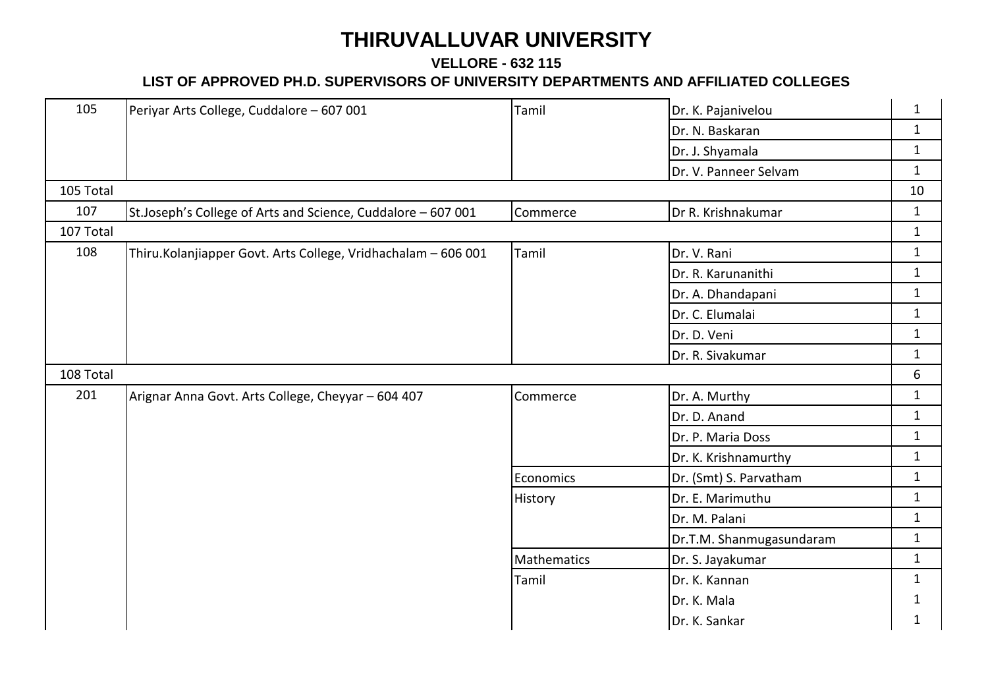### **VELLORE - 632 115**

| 105       | Periyar Arts College, Cuddalore - 607 001                     | Tamil       | Dr. K. Pajanivelou       | $\mathbf{1}$ |
|-----------|---------------------------------------------------------------|-------------|--------------------------|--------------|
|           |                                                               |             | Dr. N. Baskaran          | $\mathbf{1}$ |
|           |                                                               |             | Dr. J. Shyamala          | $\mathbf{1}$ |
|           |                                                               |             | Dr. V. Panneer Selvam    | $\mathbf{1}$ |
| 105 Total |                                                               |             |                          | 10           |
| 107       | St.Joseph's College of Arts and Science, Cuddalore - 607 001  | Commerce    | Dr R. Krishnakumar       | $\mathbf{1}$ |
| 107 Total |                                                               |             |                          | $\mathbf{1}$ |
| 108       | Thiru.Kolanjiapper Govt. Arts College, Vridhachalam - 606 001 | Tamil       | Dr. V. Rani              | $\mathbf{1}$ |
|           |                                                               |             | Dr. R. Karunanithi       | $\mathbf{1}$ |
|           |                                                               |             | Dr. A. Dhandapani        | $\mathbf{1}$ |
|           |                                                               |             | Dr. C. Elumalai          | $\mathbf{1}$ |
|           |                                                               |             | Dr. D. Veni              | $\mathbf{1}$ |
|           |                                                               |             | Dr. R. Sivakumar         | $\mathbf{1}$ |
| 108 Total |                                                               |             |                          | 6            |
| 201       | Arignar Anna Govt. Arts College, Cheyyar - 604 407            | Commerce    | Dr. A. Murthy            | $\mathbf{1}$ |
|           |                                                               |             | Dr. D. Anand             | $\mathbf{1}$ |
|           |                                                               |             | Dr. P. Maria Doss        | $\mathbf{1}$ |
|           |                                                               |             | Dr. K. Krishnamurthy     | $\mathbf{1}$ |
|           |                                                               | Economics   | Dr. (Smt) S. Parvatham   | $\mathbf{1}$ |
|           |                                                               | History     | Dr. E. Marimuthu         | $\mathbf{1}$ |
|           |                                                               |             | Dr. M. Palani            | $\mathbf{1}$ |
|           |                                                               |             | Dr.T.M. Shanmugasundaram | $\mathbf{1}$ |
|           |                                                               | Mathematics | Dr. S. Jayakumar         | 1            |
|           |                                                               | Tamil       | Dr. K. Kannan            | 1            |
|           |                                                               |             | Dr. K. Mala              | 1            |
|           |                                                               |             | Dr. K. Sankar            | 1            |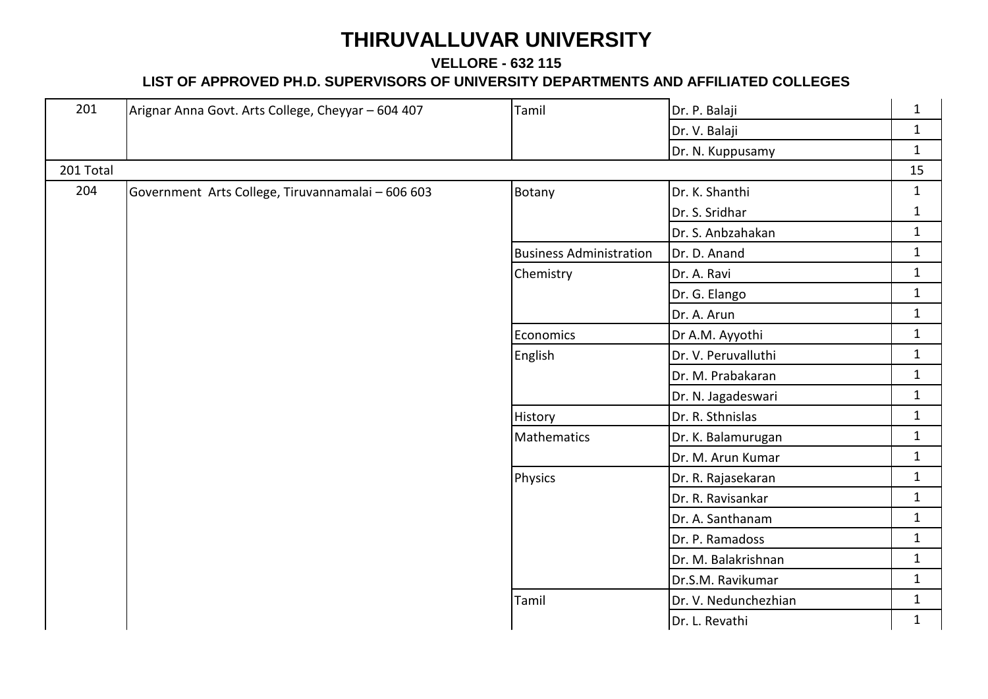| 201       | Arignar Anna Govt. Arts College, Cheyyar - 604 407 | Tamil                          | Dr. P. Balaji        | $\mathbf{1}$ |
|-----------|----------------------------------------------------|--------------------------------|----------------------|--------------|
|           |                                                    |                                | Dr. V. Balaji        | $\mathbf{1}$ |
|           |                                                    |                                | Dr. N. Kuppusamy     | $\mathbf{1}$ |
| 201 Total |                                                    |                                |                      | 15           |
| 204       | Government Arts College, Tiruvannamalai - 606 603  | Botany                         | Dr. K. Shanthi       | $\mathbf{1}$ |
|           |                                                    |                                | Dr. S. Sridhar       | $\mathbf{1}$ |
|           |                                                    |                                | Dr. S. Anbzahakan    | $\mathbf{1}$ |
|           |                                                    | <b>Business Administration</b> | Dr. D. Anand         | $\mathbf{1}$ |
|           |                                                    | Chemistry                      | Dr. A. Ravi          | $\mathbf{1}$ |
|           |                                                    |                                | Dr. G. Elango        | $\mathbf{1}$ |
|           |                                                    |                                | Dr. A. Arun          | $\mathbf{1}$ |
|           |                                                    | Economics                      | Dr A.M. Ayyothi      | $\mathbf{1}$ |
|           |                                                    | English                        | Dr. V. Peruvalluthi  | $\mathbf{1}$ |
|           |                                                    |                                | Dr. M. Prabakaran    | $\mathbf{1}$ |
|           |                                                    |                                | Dr. N. Jagadeswari   | $\mathbf{1}$ |
|           |                                                    | History                        | Dr. R. Sthnislas     | $\mathbf{1}$ |
|           |                                                    | Mathematics                    | Dr. K. Balamurugan   | $\mathbf{1}$ |
|           |                                                    |                                | Dr. M. Arun Kumar    | $\mathbf{1}$ |
|           |                                                    | Physics                        | Dr. R. Rajasekaran   | $\mathbf{1}$ |
|           |                                                    |                                | Dr. R. Ravisankar    | $\mathbf{1}$ |
|           |                                                    |                                | Dr. A. Santhanam     | $\mathbf{1}$ |
|           |                                                    |                                | Dr. P. Ramadoss      | $\mathbf{1}$ |
|           |                                                    |                                | Dr. M. Balakrishnan  | $\mathbf{1}$ |
|           |                                                    |                                | Dr.S.M. Ravikumar    | $\mathbf{1}$ |
|           |                                                    | Tamil                          | Dr. V. Nedunchezhian | $\mathbf 1$  |
|           |                                                    |                                | Dr. L. Revathi       | $\mathbf{1}$ |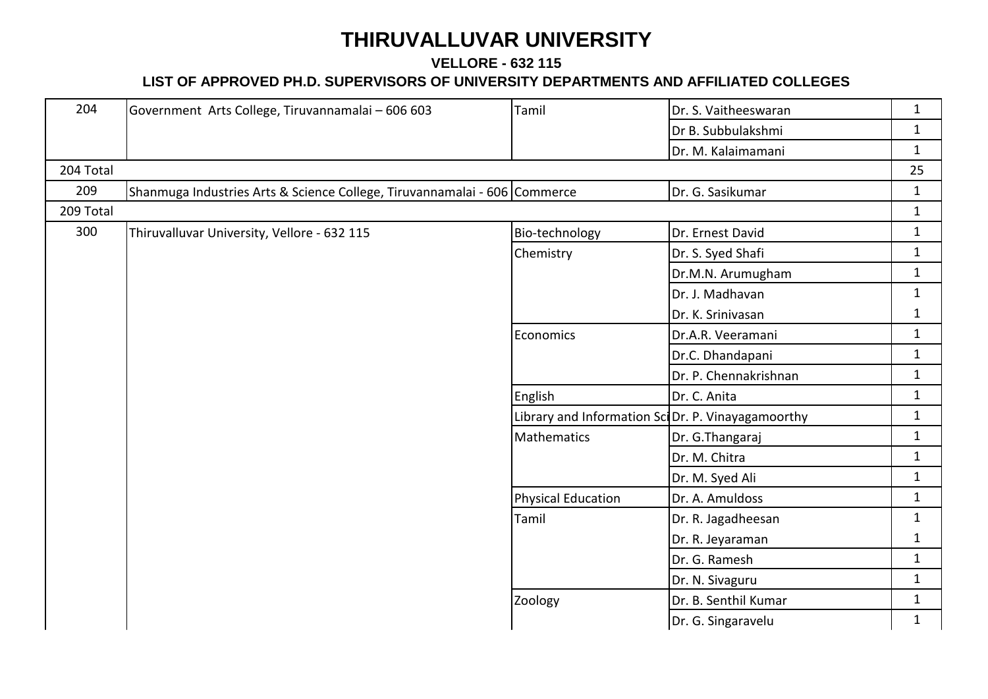### **VELLORE - 632 115**

| 204       | Government Arts College, Tiruvannamalai - 606 603                         | Tamil                                              | Dr. S. Vaitheeswaran  | $\mathbf{1}$ |
|-----------|---------------------------------------------------------------------------|----------------------------------------------------|-----------------------|--------------|
|           |                                                                           |                                                    | Dr B. Subbulakshmi    | $\mathbf{1}$ |
|           |                                                                           |                                                    | Dr. M. Kalaimamani    | $\mathbf{1}$ |
| 204 Total |                                                                           |                                                    |                       | 25           |
| 209       | Shanmuga Industries Arts & Science College, Tiruvannamalai - 606 Commerce |                                                    | Dr. G. Sasikumar      | $\mathbf{1}$ |
| 209 Total |                                                                           |                                                    |                       | $\mathbf{1}$ |
| 300       | Thiruvalluvar University, Vellore - 632 115                               | Bio-technology                                     | Dr. Ernest David      | $\mathbf{1}$ |
|           |                                                                           | Chemistry                                          | Dr. S. Syed Shafi     | $\mathbf{1}$ |
|           |                                                                           |                                                    | Dr.M.N. Arumugham     | $\mathbf{1}$ |
|           |                                                                           |                                                    | Dr. J. Madhavan       | $\mathbf{1}$ |
|           |                                                                           |                                                    | Dr. K. Srinivasan     | $\mathbf{1}$ |
|           |                                                                           | Economics                                          | Dr.A.R. Veeramani     | $\mathbf{1}$ |
|           |                                                                           |                                                    | Dr.C. Dhandapani      | $\mathbf{1}$ |
|           |                                                                           |                                                    | Dr. P. Chennakrishnan | $\mathbf{1}$ |
|           |                                                                           | English                                            | Dr. C. Anita          | $\mathbf{1}$ |
|           |                                                                           | Library and Information Sci Dr. P. Vinayagamoorthy |                       | $\mathbf{1}$ |
|           |                                                                           | <b>Mathematics</b>                                 | Dr. G.Thangaraj       | $\mathbf{1}$ |
|           |                                                                           |                                                    | Dr. M. Chitra         | $\mathbf{1}$ |
|           |                                                                           |                                                    | Dr. M. Syed Ali       | $\mathbf{1}$ |
|           |                                                                           | <b>Physical Education</b>                          | Dr. A. Amuldoss       | $\mathbf{1}$ |
|           |                                                                           | Tamil                                              | Dr. R. Jagadheesan    | $\mathbf{1}$ |
|           |                                                                           |                                                    | Dr. R. Jeyaraman      | $\mathbf{1}$ |
|           |                                                                           |                                                    | Dr. G. Ramesh         | $\mathbf{1}$ |
|           |                                                                           |                                                    | Dr. N. Sivaguru       | $\mathbf{1}$ |
|           |                                                                           | Zoology                                            | Dr. B. Senthil Kumar  | $\mathbf{1}$ |
|           |                                                                           |                                                    | Dr. G. Singaravelu    | $\mathbf{1}$ |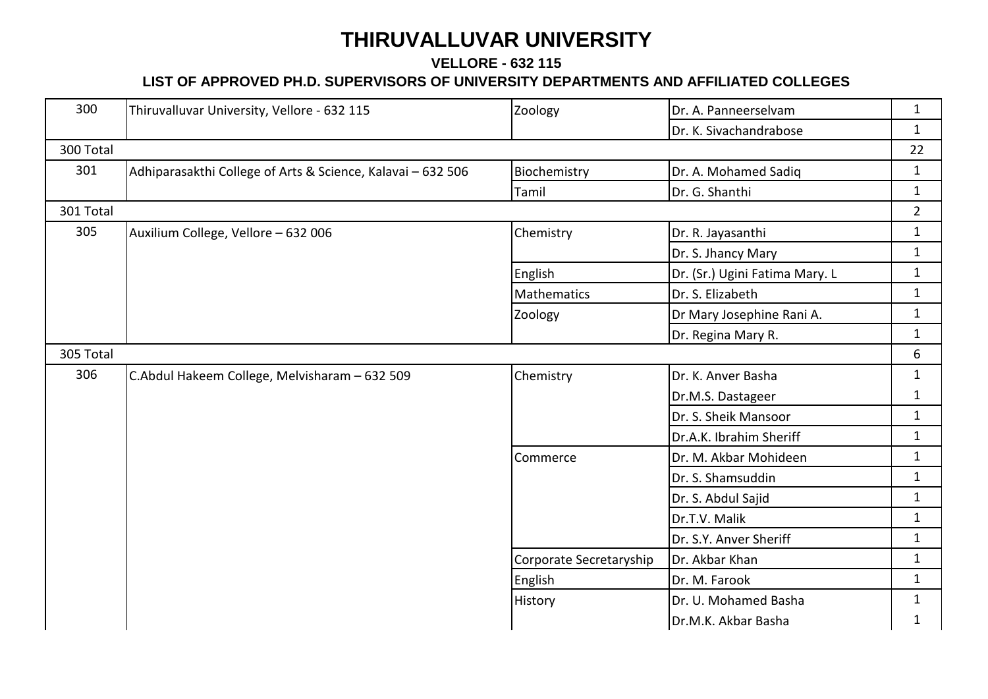| 300       | Thiruvalluvar University, Vellore - 632 115                 | Zoology                 | Dr. A. Panneerselvam           | $\mathbf{1}$   |
|-----------|-------------------------------------------------------------|-------------------------|--------------------------------|----------------|
|           |                                                             |                         | Dr. K. Sivachandrabose         | $\mathbf{1}$   |
| 300 Total |                                                             |                         |                                | 22             |
| 301       | Adhiparasakthi College of Arts & Science, Kalavai - 632 506 | Biochemistry            | Dr. A. Mohamed Sadiq           | $\mathbf{1}$   |
|           |                                                             | Tamil                   | Dr. G. Shanthi                 | $\mathbf{1}$   |
| 301 Total |                                                             |                         |                                | $\overline{2}$ |
| 305       | Auxilium College, Vellore - 632 006                         | Chemistry               | Dr. R. Jayasanthi              | $\mathbf{1}$   |
|           |                                                             |                         | Dr. S. Jhancy Mary             | $\mathbf{1}$   |
|           |                                                             | English                 | Dr. (Sr.) Ugini Fatima Mary. L | $\mathbf{1}$   |
|           |                                                             | Mathematics             | Dr. S. Elizabeth               | $\mathbf{1}$   |
|           |                                                             | Zoology                 | Dr Mary Josephine Rani A.      | $\mathbf{1}$   |
|           |                                                             |                         | Dr. Regina Mary R.             | $\mathbf{1}$   |
| 305 Total |                                                             |                         |                                | 6              |
| 306       | C.Abdul Hakeem College, Melvisharam - 632 509               | Chemistry               | Dr. K. Anver Basha             | $\mathbf{1}$   |
|           |                                                             |                         | Dr.M.S. Dastageer              | $\mathbf{1}$   |
|           |                                                             |                         | Dr. S. Sheik Mansoor           | $\mathbf{1}$   |
|           |                                                             |                         | Dr.A.K. Ibrahim Sheriff        | $\mathbf{1}$   |
|           |                                                             | Commerce                | Dr. M. Akbar Mohideen          | $\mathbf{1}$   |
|           |                                                             |                         | Dr. S. Shamsuddin              | $\mathbf{1}$   |
|           |                                                             |                         | Dr. S. Abdul Sajid             | $\mathbf{1}$   |
|           |                                                             |                         | Dr.T.V. Malik                  | $\mathbf{1}$   |
|           |                                                             |                         | Dr. S.Y. Anver Sheriff         | $\mathbf{1}$   |
|           |                                                             | Corporate Secretaryship | Dr. Akbar Khan                 | $\mathbf{1}$   |
|           |                                                             | English                 | Dr. M. Farook                  | $\mathbf{1}$   |
|           |                                                             | History                 | Dr. U. Mohamed Basha           | $\mathbf{1}$   |
|           |                                                             |                         | Dr.M.K. Akbar Basha            | $\mathbf{1}$   |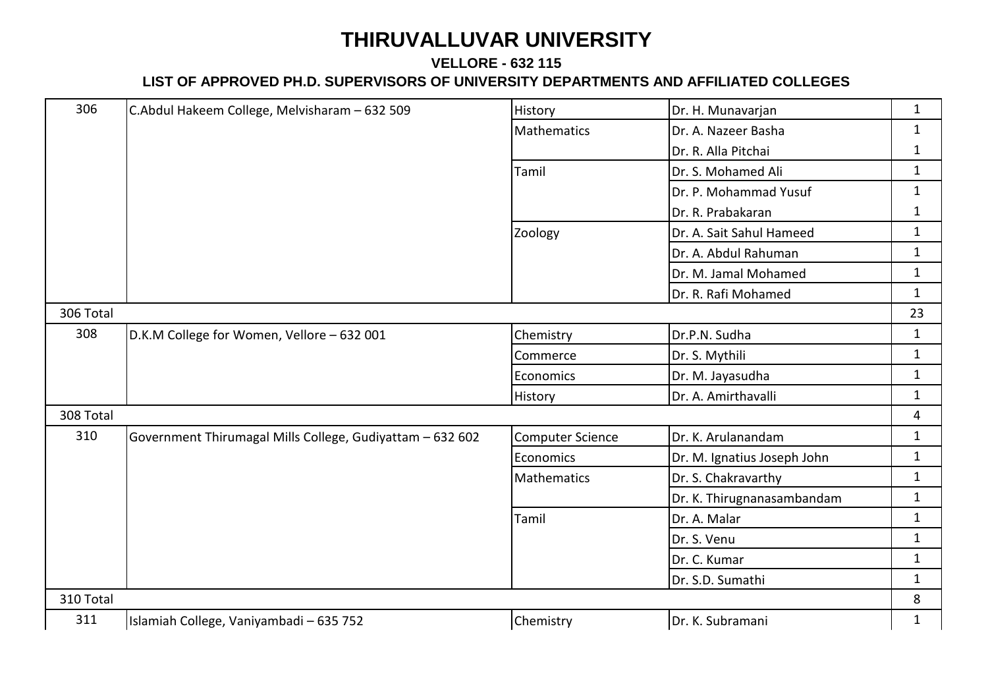| 306       | C.Abdul Hakeem College, Melvisharam - 632 509             | History                 | Dr. H. Munavarjan           | $\mathbf{1}$ |
|-----------|-----------------------------------------------------------|-------------------------|-----------------------------|--------------|
|           |                                                           | Mathematics             | Dr. A. Nazeer Basha         | $\mathbf{1}$ |
|           |                                                           |                         | Dr. R. Alla Pitchai         | 1            |
|           |                                                           | Tamil                   | Dr. S. Mohamed Ali          | $\mathbf{1}$ |
|           |                                                           |                         | Dr. P. Mohammad Yusuf       | $\mathbf{1}$ |
|           |                                                           |                         | Dr. R. Prabakaran           | $\mathbf{1}$ |
|           |                                                           | Zoology                 | Dr. A. Sait Sahul Hameed    | $\mathbf{1}$ |
|           |                                                           |                         | Dr. A. Abdul Rahuman        | $\mathbf{1}$ |
|           |                                                           |                         | Dr. M. Jamal Mohamed        | $\mathbf{1}$ |
|           |                                                           |                         | Dr. R. Rafi Mohamed         | $\mathbf{1}$ |
| 306 Total |                                                           |                         |                             | 23           |
| 308       | D.K.M College for Women, Vellore - 632 001                | Chemistry               | Dr.P.N. Sudha               | $\mathbf{1}$ |
|           |                                                           | Commerce                | Dr. S. Mythili              | $\mathbf{1}$ |
|           |                                                           | Economics               | Dr. M. Jayasudha            | $\mathbf{1}$ |
|           |                                                           | History                 | Dr. A. Amirthavalli         | $\mathbf{1}$ |
| 308 Total |                                                           |                         |                             | 4            |
| 310       | Government Thirumagal Mills College, Gudiyattam - 632 602 | <b>Computer Science</b> | Dr. K. Arulanandam          | $\mathbf{1}$ |
|           |                                                           | Economics               | Dr. M. Ignatius Joseph John | $\mathbf{1}$ |
|           |                                                           | Mathematics             | Dr. S. Chakravarthy         | $\mathbf{1}$ |
|           |                                                           |                         | Dr. K. Thirugnanasambandam  | $\mathbf{1}$ |
|           |                                                           | Tamil                   | Dr. A. Malar                | $\mathbf{1}$ |
|           |                                                           |                         | Dr. S. Venu                 | $\mathbf{1}$ |
|           |                                                           |                         | Dr. C. Kumar                | $\mathbf{1}$ |
|           |                                                           |                         | Dr. S.D. Sumathi            | $\mathbf{1}$ |
| 310 Total |                                                           |                         |                             | 8            |
| 311       | Islamiah College, Vaniyambadi - 635 752                   | Chemistry               | Dr. K. Subramani            | $\mathbf{1}$ |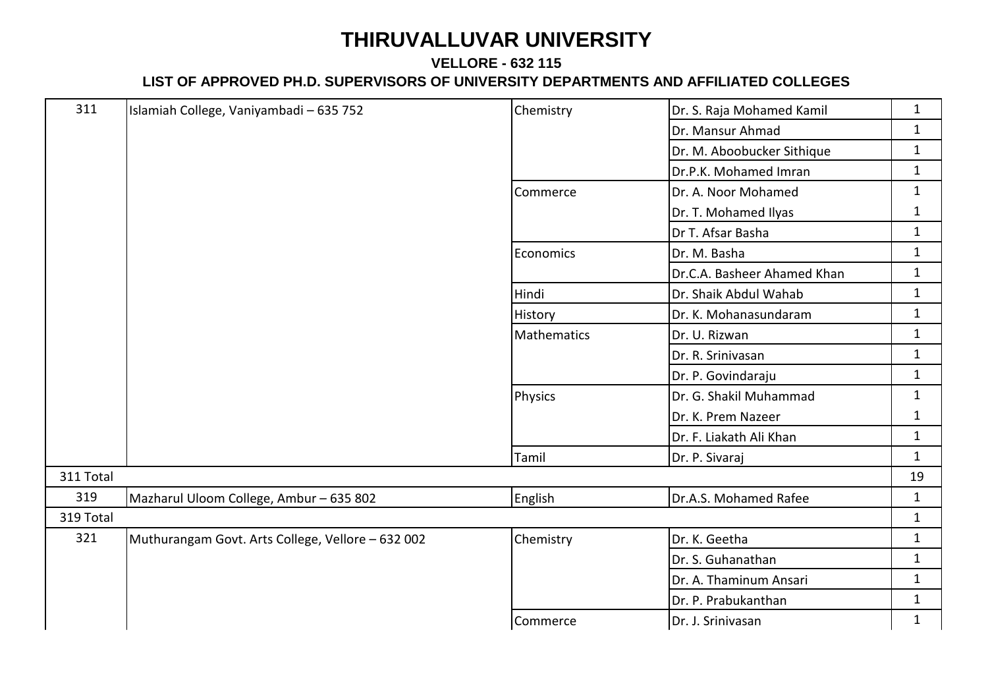### **VELLORE - 632 115**

| 311       | Islamiah College, Vaniyambadi - 635 752           | Chemistry   | Dr. S. Raja Mohamed Kamil   | $\mathbf{1}$ |
|-----------|---------------------------------------------------|-------------|-----------------------------|--------------|
|           |                                                   |             | Dr. Mansur Ahmad            | $\mathbf{1}$ |
|           |                                                   |             | Dr. M. Aboobucker Sithique  | $\mathbf{1}$ |
|           |                                                   |             | Dr.P.K. Mohamed Imran       | $\mathbf{1}$ |
|           |                                                   | Commerce    | Dr. A. Noor Mohamed         | $\mathbf{1}$ |
|           |                                                   |             | Dr. T. Mohamed Ilyas        | $\mathbf{1}$ |
|           |                                                   |             | Dr T. Afsar Basha           | $\mathbf{1}$ |
|           |                                                   | Economics   | Dr. M. Basha                | $\mathbf{1}$ |
|           |                                                   |             | Dr.C.A. Basheer Ahamed Khan | $\mathbf{1}$ |
|           |                                                   | Hindi       | Dr. Shaik Abdul Wahab       | $\mathbf{1}$ |
|           |                                                   | History     | Dr. K. Mohanasundaram       | $\mathbf{1}$ |
|           |                                                   | Mathematics | Dr. U. Rizwan               | $\mathbf{1}$ |
|           |                                                   |             | Dr. R. Srinivasan           | $\mathbf{1}$ |
|           |                                                   |             | Dr. P. Govindaraju          | $\mathbf{1}$ |
|           |                                                   | Physics     | Dr. G. Shakil Muhammad      | $\mathbf{1}$ |
|           |                                                   |             | Dr. K. Prem Nazeer          | $\mathbf{1}$ |
|           |                                                   |             | Dr. F. Liakath Ali Khan     | $\mathbf{1}$ |
|           |                                                   | Tamil       | Dr. P. Sivaraj              | $\mathbf{1}$ |
| 311 Total |                                                   |             |                             | 19           |
| 319       | Mazharul Uloom College, Ambur - 635 802           | English     | Dr.A.S. Mohamed Rafee       | $\mathbf{1}$ |
| 319 Total |                                                   |             |                             | $\mathbf{1}$ |
| 321       | Muthurangam Govt. Arts College, Vellore - 632 002 | Chemistry   | Dr. K. Geetha               | $\mathbf{1}$ |
|           |                                                   |             | Dr. S. Guhanathan           | $\mathbf{1}$ |
|           |                                                   |             | Dr. A. Thaminum Ansari      | $\mathbf{1}$ |
|           |                                                   |             | Dr. P. Prabukanthan         | $\mathbf{1}$ |
|           |                                                   | Commerce    | Dr. J. Srinivasan           | $\mathbf{1}$ |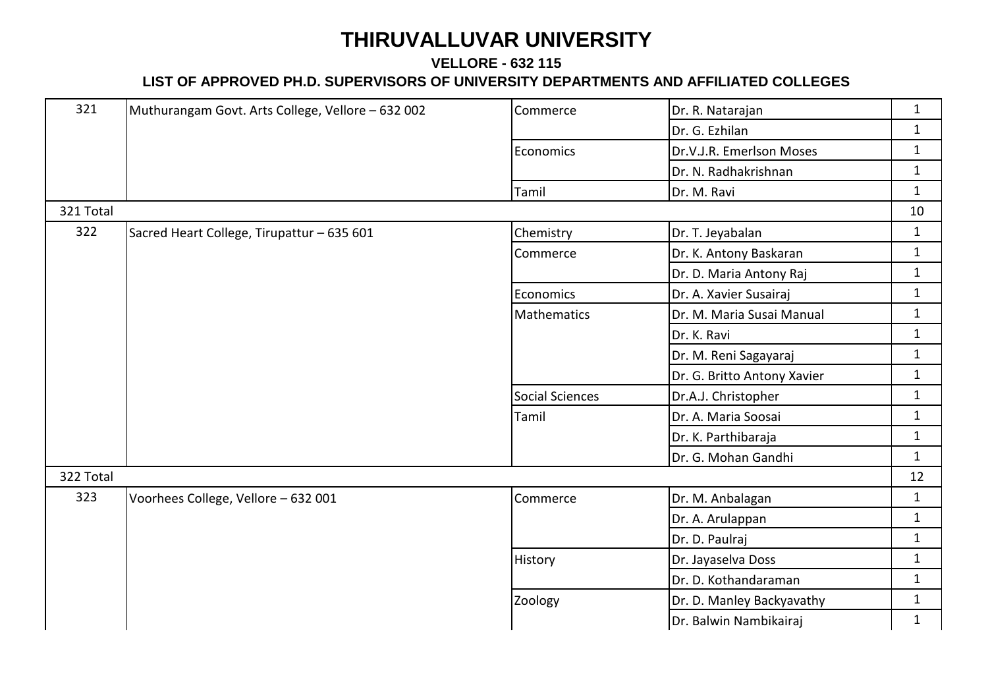| 321       | Muthurangam Govt. Arts College, Vellore - 632 002 | Commerce               | Dr. R. Natarajan            | $\mathbf{1}$ |
|-----------|---------------------------------------------------|------------------------|-----------------------------|--------------|
|           |                                                   |                        | Dr. G. Ezhilan              | $\mathbf{1}$ |
|           |                                                   | Economics              | Dr.V.J.R. Emerlson Moses    | $\mathbf{1}$ |
|           |                                                   |                        | Dr. N. Radhakrishnan        | $\mathbf{1}$ |
|           |                                                   | Tamil                  | Dr. M. Ravi                 | $\mathbf{1}$ |
| 321 Total |                                                   |                        |                             | 10           |
| 322       | Sacred Heart College, Tirupattur - 635 601        | Chemistry              | Dr. T. Jeyabalan            | $\mathbf{1}$ |
|           |                                                   | Commerce               | Dr. K. Antony Baskaran      | $\mathbf{1}$ |
|           |                                                   |                        | Dr. D. Maria Antony Raj     | $\mathbf{1}$ |
|           |                                                   | Economics              | Dr. A. Xavier Susairaj      | $\mathbf{1}$ |
|           |                                                   | Mathematics            | Dr. M. Maria Susai Manual   | $\mathbf{1}$ |
|           |                                                   |                        | Dr. K. Ravi                 | $\mathbf{1}$ |
|           |                                                   |                        | Dr. M. Reni Sagayaraj       | $\mathbf{1}$ |
|           |                                                   |                        | Dr. G. Britto Antony Xavier | $\mathbf{1}$ |
|           |                                                   | <b>Social Sciences</b> | Dr.A.J. Christopher         | $\mathbf{1}$ |
|           |                                                   | Tamil                  | Dr. A. Maria Soosai         | $\mathbf{1}$ |
|           |                                                   |                        | Dr. K. Parthibaraja         | $\mathbf{1}$ |
|           |                                                   |                        | Dr. G. Mohan Gandhi         | $\mathbf{1}$ |
| 322 Total |                                                   |                        |                             | 12           |
| 323       | Voorhees College, Vellore - 632 001               | Commerce               | Dr. M. Anbalagan            | $\mathbf{1}$ |
|           |                                                   |                        | Dr. A. Arulappan            | $\mathbf{1}$ |
|           |                                                   |                        | Dr. D. Paulraj              | $\mathbf{1}$ |
|           |                                                   | History                | Dr. Jayaselva Doss          | $\mathbf{1}$ |
|           |                                                   |                        | Dr. D. Kothandaraman        | $\mathbf{1}$ |
|           |                                                   | Zoology                | Dr. D. Manley Backyavathy   | $\mathbf{1}$ |
|           |                                                   |                        | Dr. Balwin Nambikairaj      | $\mathbf{1}$ |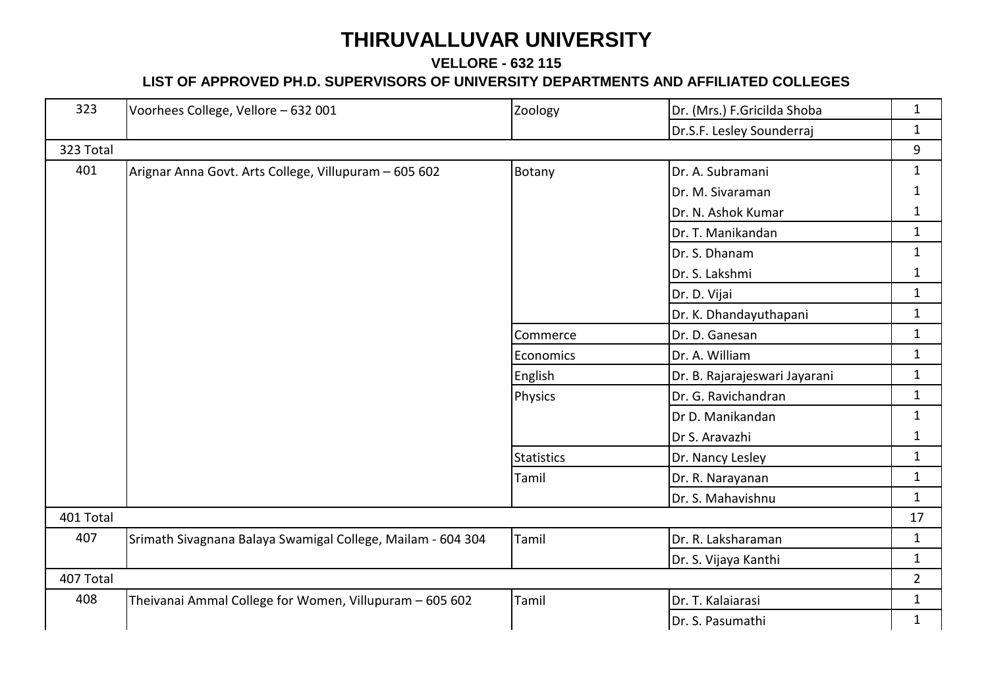| 323       | Voorhees College, Vellore - 632 001                         | Zoology      | Dr. (Mrs.) F.Gricilda Shoba   | $\mathbf{1}$   |
|-----------|-------------------------------------------------------------|--------------|-------------------------------|----------------|
|           |                                                             |              | Dr.S.F. Lesley Sounderraj     | $\mathbf{1}$   |
| 323 Total |                                                             |              |                               | 9              |
| 401       | Arignar Anna Govt. Arts College, Villupuram - 605 602       | Botany       | Dr. A. Subramani              | $\mathbf{1}$   |
|           |                                                             |              | Dr. M. Sivaraman              | 1              |
|           |                                                             |              | Dr. N. Ashok Kumar            | $\mathbf{1}$   |
|           |                                                             |              | Dr. T. Manikandan             | $\mathbf{1}$   |
|           |                                                             |              | Dr. S. Dhanam                 | $\mathbf{1}$   |
|           |                                                             |              | Dr. S. Lakshmi                | $\mathbf{1}$   |
|           |                                                             |              | Dr. D. Vijai                  | $\mathbf{1}$   |
|           |                                                             |              | Dr. K. Dhandayuthapani        | $\mathbf{1}$   |
|           |                                                             | Commerce     | Dr. D. Ganesan                | $\mathbf{1}$   |
|           |                                                             | Economics    | Dr. A. William                | $\mathbf{1}$   |
|           |                                                             | English      | Dr. B. Rajarajeswari Jayarani | $\mathbf{1}$   |
|           |                                                             | Physics      | Dr. G. Ravichandran           | $\mathbf{1}$   |
|           |                                                             |              | Dr D. Manikandan              | $\mathbf{1}$   |
|           |                                                             |              | Dr S. Aravazhi                | 1              |
|           |                                                             | Statistics   | Dr. Nancy Lesley              | $\mathbf{1}$   |
|           |                                                             | Tamil        | Dr. R. Narayanan              | $\mathbf{1}$   |
|           |                                                             |              | Dr. S. Mahavishnu             | $\mathbf{1}$   |
| 401 Total |                                                             |              |                               | 17             |
| 407       | Srimath Sivagnana Balaya Swamigal College, Mailam - 604 304 | Tamil        | Dr. R. Laksharaman            | $\mathbf{1}$   |
|           |                                                             |              | Dr. S. Vijaya Kanthi          | $\mathbf{1}$   |
| 407 Total |                                                             |              |                               | $\overline{2}$ |
| 408       | Theivanai Ammal College for Women, Villupuram - 605 602     | <b>Tamil</b> | Dr. T. Kalaiarasi             | $\mathbf{1}$   |
|           |                                                             |              | Dr. S. Pasumathi              | $\mathbf{1}$   |